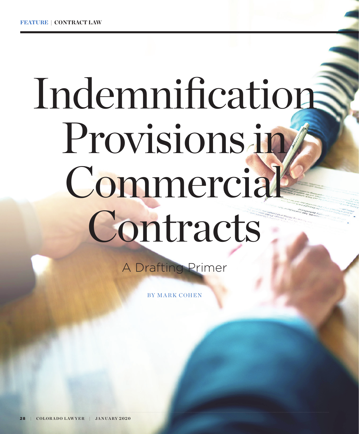# Indemnification Provisions in Commercial Contracts

A Drafting Primer

BY MARK COHEN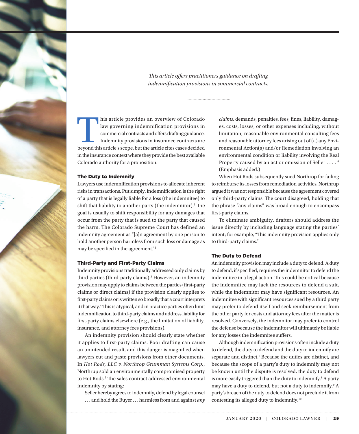*This article offers practitioners guidance on drafting indemnification provisions in commercial contracts.* 

This article provides an overview of Colorado law governing indemnification provisions in commercial contracts and offers drafting guidance. Indemnity provisions in insurance contracts are beyond this article's scope, but law governing indemnification provisions in commercial contracts and offers drafting guidance. Indemnity provisions in insurance contracts are in the insurance context where they provide the best available Colorado authority for a proposition.

#### The Duty to Indemnify

Lawyers use indemnification provisions to allocate inherent risks in transactions. Put simply, indemnification is the right of a party that is legally liable for a loss (the indemnitee) to shift that liability to another party (the indemnitor).<sup>1</sup> The goal is usually to shift responsibility for any damages that occur from the party that is sued to the party that caused the harm. The Colorado Supreme Court has defined an indemnity agreement as "[a]n agreement by one person to hold another person harmless from such loss or damage as may be specified in the agreement."2

#### Third-Party and First-Party Claims

Indemnity provisions traditionally addressed only claims by third parties (third-party claims).<sup>3</sup> However, an indemnity provision may apply to claims between the parties (first-party claims or direct claims) if the provision clearly applies to first-party claims or is written so broadly that a court interprets it that way.<sup>4</sup> This is atypical, and in practice parties often limit indemnification to third-party claims and address liability for first-party claims elsewhere (e.g., the limitation of liability, insurance, and attorney fees provisions).

An indemnity provision should clearly state whether it applies to first-party claims. Poor drafting can cause an unintended result, and this danger is magnified when lawyers cut and paste provisions from other documents. In *Hot Rods, LLC v. Northrop Grumman Systems Corp.*, Northrup sold an environmentally compromised property to Hot Rods.<sup>5</sup> The sales contract addressed environmental indemnity by stating:

Seller hereby agrees to indemnify, defend by legal counsel . . . and hold the Buyer . . . harmless from and against *any*  *claims*, demands, penalties, fees, fines, liability, damages, costs, losses, or other expenses including, without limitation, reasonable environmental consulting fees and reasonable attorney fees arising out of (a) any Environmental Action(s) and/or Remediation involving an environmental condition or liability involving the Real Property caused by an act or omission of Seller . . . . <sup>6</sup> (Emphasis added.)

When Hot Rods subsequently sued Northrop for failing to reimburse its losses from remediation activities, Northrup argued it was not responsible because the agreement covered only third-party claims. The court disagreed, holding that the phrase "any claims" was broad enough to encompass first-party claims.

To eliminate ambiguity, drafters should address the issue directly by including language stating the parties' intent; for example, "This indemnity provision applies only to third-party claims."

#### The Duty to Defend

An indemnity provision may include a duty to defend. A duty to defend, if specified, requires the indemnitor to defend the indemnitee in a legal action. This could be critical because the indemnitee may lack the resources to defend a suit, while the indemnitor may have significant resources. An indemnitee with significant resources sued by a third party may prefer to defend itself and seek reimbursement from the other party for costs and attorney fees after the matter is resolved. Conversely, the indemnitor may prefer to control the defense because the indemnitor will ultimately be liable for any losses the indemnitee suffers.

Although indemnification provisions often include a duty to defend, the duty to defend and the duty to indemnify are separate and distinct.<sup>7</sup> Because the duties are distinct, and because the scope of a party's duty to indemnify may not be known until the dispute is resolved, the duty to defend is more easily triggered than the duty to indemnify.<sup>8</sup> A party may have a duty to defend, but not a duty to indemnify.<sup>9</sup> A party's breach of the duty to defend does not preclude it from contesting its alleged duty to indemnify.10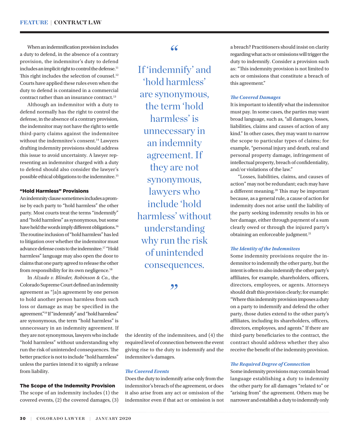When an indemnification provision includes a duty to defend, in the absence of a contrary provision, the indemnitor's duty to defend includes an implicit right to control the defense.<sup>11</sup> This right includes the selection of counsel.<sup>12</sup> Courts have applied these rules even when the duty to defend is contained in a commercial contract rather than an insurance contract.<sup>13</sup>

Although an indemnitor with a duty to defend normally has the right to control the defense, in the absence of a contrary provision, the indemnitor may not have the right to settle third-party claims against the indemnitee without the indemnitee's consent.<sup>14</sup> Lawyers drafting indemnity provisions should address this issue to avoid uncertainty. A lawyer representing an indemnitor charged with a duty to defend should also consider the lawyer's possible ethical obligations to the indemnitee.15

#### "Hold Harmless" Provisions

An indemnity clause sometimes includes a promise by each party to "hold harmless" the other party. Most courts treat the terms "indemnify" and "hold harmless" as synonymous, but some have held the words imply different obligations.<sup>16</sup> The routine inclusion of "hold harmless" has led to litigation over whether the indemnitor must advance defense costs to the indemnitee.17 "Hold harmless" language may also open the door to claims that one party agreed to release the other from responsibility for its own negligence.18

In *Alzado v. Blinder, Robinson & Co.*, the Colorado Supreme Court defined an indemnity agreement as "[a]n agreement by one person to hold another person harmless from such loss or damage as may be specified in the agreement."19 If "indemnify" and "hold harmless" are synonymous, the term "hold harmless" is unnecessary in an indemnity agreement. If they are not synonymous, lawyers who include "hold harmless" without understanding why run the risk of unintended consequences. The better practice is not to include "hold harmless" unless the parties intend it to signify a release from liability.

#### The Scope of the Indemnity Provision

The scope of an indemnity includes (1) the covered events, (2) the covered damages, (3)

# $66$

If 'indemnify' and 'hold harmless' are synonymous, the term 'hold harmless' is unnecessary in an indemnity agreement. If they are not synonymous, lawyers who include 'hold harmless' without understanding why run the risk of unintended consequences.

,,

the identity of the indemnitees, and (4) the required level of connection between the event giving rise to the duty to indemnify and the indemnitee's damages.

#### *The Covered Events*

Does the duty to indemnify arise only from the indemnitor's breach of the agreement, or does it also arise from any act or omission of the indemnitor even if that act or omission is not

a breach? Practitioners should insist on clarity regarding what acts or omissions will trigger the duty to indemnify. Consider a provision such as: "This indemnity provision is not limited to acts or omissions that constitute a breach of this agreement."

#### *The Covered Damages*

It is important to identify what the indemnitor must pay. In some cases, the parties may want broad language, such as, "all damages, losses, liabilities, claims and causes of action of any kind." In other cases, they may want to narrow the scope to particular types of claims; for example, "personal injury and death, real and personal property damage, infringement of intellectual property, breach of confidentiality, and/or violations of the law."

"Losses, liabilities, claims, and causes of action" may not be redundant; each may have a different meaning.20 This may be important because, as a general rule, a cause of action for indemnity does not arise until the liability of the party seeking indemnity results in his or her damage, either through payment of a sum clearly owed or through the injured party's obtaining an enforceable judgment.<sup>21</sup>

#### *The Identity of the Indemnitees*

Some indemnity provisions require the indemnitor to indemnify the other party, but the intent is often to also indemnify the other party's affiliates, for example, shareholders, officers, directors, employees, or agents. Attorneys should draft this provision clearly; for example: "Where this indemnity provision imposes a duty on a party to indemnify and defend the other party, those duties extend to the other party's affiliates, including its shareholders, officers, directors, employees, and agents." If there are third-party beneficiaries to the contract, the contract should address whether they also receive the benefit of the indemnity provision.

#### *The Required Degree of Connection*

Some indemnity provisions may contain broad language establishing a duty to indemnity the other party for all damages "related to" or "arising from" the agreement. Others may be narrower and establish a duty to indemnify only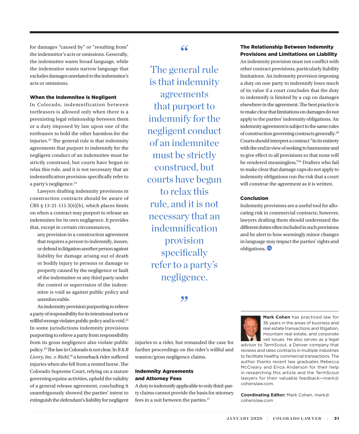for damages "caused by" or "resulting from" the indemnitor's acts or omissions. Generally, the indemnitee wants broad language, while the indemnitor wants narrow language that excludes damages unrelated to the indemnitor's acts or omissions.

## When the Indemnitee is Negligent

In Colorado, indemnification between tortfeasors is allowed only when there is a preexisting legal relationship between them or a duty imposed by law upon one of the tortfeasors to hold the other harmless for the injuries.22 The general rule is that indemnity agreements that purport to indemnify for the negligent conduct of an indemnitee must be strictly construed, but courts have begun to relax this rule, and it is not necessary that an indemnification provision specifically refer to a party's negligence.<sup>23</sup>

Lawyers drafting indemnity provisions in construction contracts should be aware of CRS § 13-21-111.5(6)(b), which places limits on when a contract may purport to release an indemnitee for its own negligence. It provides that, except in certain circumstances,

any provision in a construction agreement that requires a person to indemnify, insure, or defend in litigation another person against liability for damage arising out of death or bodily injury to persons or damage to property caused by the negligence or fault of the indemnitee or any third party under the control or supervision of the indemnitee is void as against public policy and unenforceable.

An indemnity provision purporting to relieve a party of responsibility for its intentional torts or willful wrongs violates public policy and is void.24 In some jurisdictions indemnity provisions purporting to relieve a party from responsibility from its gross negligence also violate public policy.25 The law in Colorado is not clear. In *B & B Livery, Inc. v. Riehl*, <sup>26</sup> a horseback rider suffered injuries when she fell from a rented horse. The Colorado Supreme Court, relying on a statute governing equine activities, upheld the validity of a general release agreement, concluding it unambiguously showed the parties' intent to extinguish the defendant's liability for negligent "

The general rule is that indemnity agreements that purport to indemnify for the negligent conduct of an indemnitee must be strictly construed, but courts have begun to relax this rule, and it is not necessary that an indemnification provision specifically refer to a party's negligence.

,,

injuries to a rider, but remanded the case for further proceedings on the rider's willful and wanton/gross negligence claims.

### Indemnity Agreements and Attorney Fees

A duty to indemnify applicable to only third-party claims cannot provide the basis for attorney fees in a suit between the parties.<sup>27</sup>

# The Relationship Between Indemnity Provisions and Limitations on Liability

An indemnity provision must not conflict with other contract provisions, particularly liability limitations. An indemnity provision imposing a duty on one party to indemnify loses much of its value if a court concludes that the duty to indemnify is limited by a cap on damages elsewhere in the agreement. The best practice is to make clear that limitations on damages do not apply to the parties' indemnity obligations. An indemnity agreement is subject to the same rules of construction governing contracts generally.28 Courts should interpret a contract "in its entirety with the end in view of seeking to harmonize and to give effect to all provisions so that none will be rendered meaningless."<sup>29</sup> Drafters who fail to make clear that damage caps do not apply to indemnity obligations run the risk that a court will construe the agreement as it is written.

#### Conclusion

Indemnity provisions are a useful tool for allocating risk in commercial contracts; however, lawyers drafting them should understand the different duties often included in such provisions and be alert to how seemingly minor changes in language may impact the parties' rights and obligations.



**Mark Cohen** has practiced law for 36 years in the areas of business and real estate transactions and litigation, mountain real estate, and corporate veil issues. He also serves as a legal

advisor to TermScout, a Denver company that reviews and rates contracts in multiple industries to facilitate healthy commercial transactions. The author thanks recent law graduates Rebecca McCreary and Erica Anderson for their help in researching this article and the TermScout lawyers for their valuable feedback—mark@ cohenslaw.com.

**Coordinating Editor:** Mark Cohen, mark@ cohenslaw.com